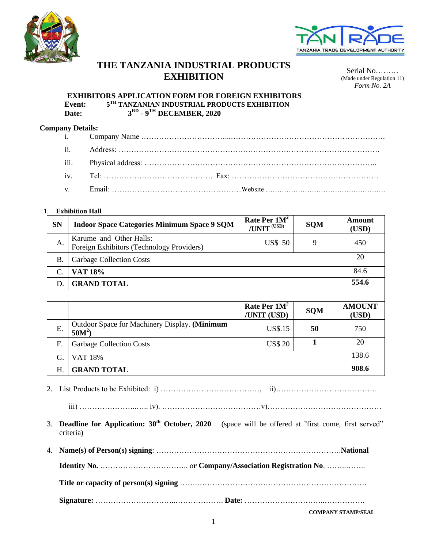



# **THE TANZANIA INDUSTRIAL PRODUCTS EXHIBITION** Serial No………

(Made under Regulation 11) *Form No. 2A*

#### **EXHIBITORS APPLICATION FORM FOR FOREIGN EXHIBITORS Event: 5 TH TANZANIAN INDUSTRIAL PRODUCTS EXHIBITION Date: 3 RD - 9 TH DECEMBER, 2020**

## **Company Details:**

### 1. **Exhibition Hall**

| <b>SN</b>  | <b>Indoor Space Categories Minimum Space 9 SQM</b>                   | Rate Per $1M^2$<br>/UNIT (USD) | <b>SQM</b> | Amount<br>(USD)        |
|------------|----------------------------------------------------------------------|--------------------------------|------------|------------------------|
| A.         | Karume and Other Halls:<br>Foreign Exhibitors (Technology Providers) | <b>US\$ 50</b>                 | 9          | 450                    |
| <b>B</b> . | <b>Garbage Collection Costs</b>                                      |                                |            | 20                     |
| C.         | VAT 18%                                                              |                                |            | 84.6                   |
| D.         | <b>GRAND TOTAL</b>                                                   |                                |            | 554.6                  |
|            |                                                                      |                                |            |                        |
|            |                                                                      | Rate Per $1M^2$<br>/UNIT (USD) | <b>SQM</b> | <b>AMOUNT</b><br>(USD) |
| E.         | Outdoor Space for Machinery Display. (Minimum<br>$50M^2$ )           | <b>US\$.15</b>                 | 50         | 750                    |
| F.         | <b>Garbage Collection Costs</b>                                      | <b>US\$ 20</b>                 |            | 20                     |
| G.         | <b>VAT 18%</b>                                                       |                                |            | 138.6                  |
| H.         | <b>GRAND TOTAL</b>                                                   |                                |            | 908.6                  |

2. List Products to be Exhibited: i) …………………………………, ii)………………………………….

iii) …………………..….. iv). …………………………………v)………………………………………

- 3. **Deadline for Application: 30th October, 2020** (space will be offered at "first come, first served" criteria)
- 4. **Name(s) of Person(s) signing**: ……………………………………………………………….**National Identity No.** …………………………….. o**r Company/Association Registration No**. ……..…….. **Title or capacity of person(s) signing** …….…………………………………………………………. **Signature:** …………………………..………………. **Date:** …………………………..…………….

**COMPANY STAMP/SEAL**